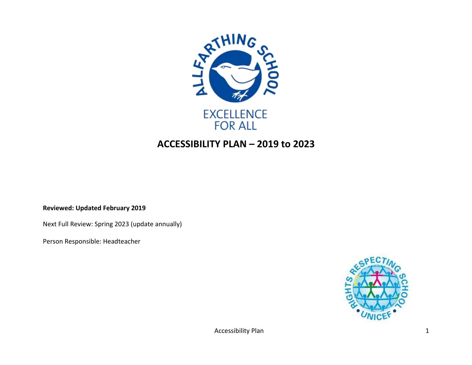

## **ACCESSIBILITY PLAN – 2019 to 2023**

**Reviewed: Updated February 2019**

Next Full Review: Spring 2023 (update annually)

Person Responsible: Headteacher



Accessibility Plan 1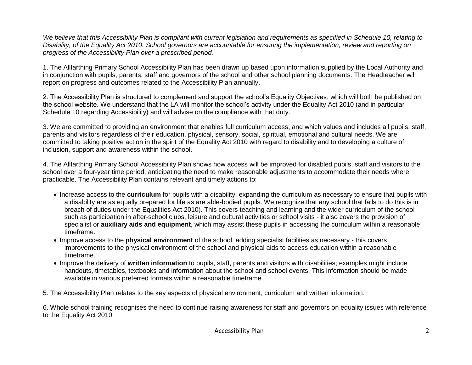*We believe that this Accessibility Plan is compliant with current legislation and requirements as specified in Schedule 10, relating to Disability, of the Equality Act 2010. School governors are accountable for ensuring the implementation, review and reporting on progress of the Accessibility Plan over a prescribed period.*

1. The Allfarthing Primary School Accessibility Plan has been drawn up based upon information supplied by the Local Authority and in conjunction with pupils, parents, staff and governors of the school and other school planning documents. The Headteacher will report on progress and outcomes related to the Accessibility Plan annually.

2. The Accessibility Plan is structured to complement and support the school's Equality Objectives, which will both be published on the school website. We understand that the LA will monitor the school's activity under the Equality Act 2010 (and in particular Schedule 10 regarding Accessibility) and will advise on the compliance with that duty.

3. We are committed to providing an environment that enables full curriculum access, and which values and includes all pupils, staff, parents and visitors regardless of their education, physical, sensory, social, spiritual, emotional and cultural needs. We are committed to taking positive action in the spirit of the Equality Act 2010 with regard to disability and to developing a culture of inclusion, support and awareness within the school.

4. The Allfarthing Primary School Accessibility Plan shows how access will be improved for disabled pupils, staff and visitors to the school over a four-year time period, anticipating the need to make reasonable adjustments to accommodate their needs where practicable. The Accessibility Plan contains relevant and timely actions to:

- Increase access to the **curriculum** for pupils with a disability, expanding the curriculum as necessary to ensure that pupils with a disability are as equally prepared for life as are able-bodied pupils. We recognize that any school that fails to do this is in breach of duties under the Equalities Act 2010). This covers teaching and learning and the wider curriculum of the school such as participation in after-school clubs, leisure and cultural activities or school visits - it also covers the provision of specialist or **auxiliary aids and equipment**, which may assist these pupils in accessing the curriculum within a reasonable timeframe.
- Improve access to the **physical environment** of the school, adding specialist facilities as necessary this covers improvements to the physical environment of the school and physical aids to access education within a reasonable timeframe.
- Improve the delivery of **written information** to pupils, staff, parents and visitors with disabilities; examples might include handouts, timetables, textbooks and information about the school and school events. This information should be made available in various preferred formats within a reasonable timeframe.

5. The Accessibility Plan relates to the key aspects of physical environment, curriculum and written information.

6. Whole school training recognises the need to continue raising awareness for staff and governors on equality issues with reference to the Equality Act 2010.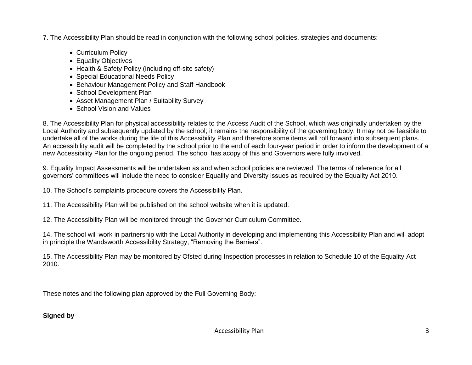7. The Accessibility Plan should be read in conjunction with the following school policies, strategies and documents:

- Curriculum Policy
- Equality Objectives
- Health & Safety Policy (including off-site safety)
- Special Educational Needs Policy
- Behaviour Management Policy and Staff Handbook
- School Development Plan
- Asset Management Plan / Suitability Survey
- School Vision and Values

8. The Accessibility Plan for physical accessibility relates to the Access Audit of the School, which was originally undertaken by the Local Authority and subsequently updated by the school; it remains the responsibility of the governing body. It may not be feasible to undertake all of the works during the life of this Accessibility Plan and therefore some items will roll forward into subsequent plans. An accessibility audit will be completed by the school prior to the end of each four-year period in order to inform the development of a new Accessibility Plan for the ongoing period. The school has acopy of this and Governors were fully involved.

9. Equality Impact Assessments will be undertaken as and when school policies are reviewed. The terms of reference for all governors' committees will include the need to consider Equality and Diversity issues as required by the Equality Act 2010.

10. The School's complaints procedure covers the Accessibility Plan.

11. The Accessibility Plan will be published on the school website when it is updated.

12. The Accessibility Plan will be monitored through the Governor Curriculum Committee.

14. The school will work in partnership with the Local Authority in developing and implementing this Accessibility Plan and will adopt in principle the Wandsworth Accessibility Strategy, "Removing the Barriers".

15. The Accessibility Plan may be monitored by Ofsted during Inspection processes in relation to Schedule 10 of the Equality Act 2010.

These notes and the following plan approved by the Full Governing Body:

## **Signed by**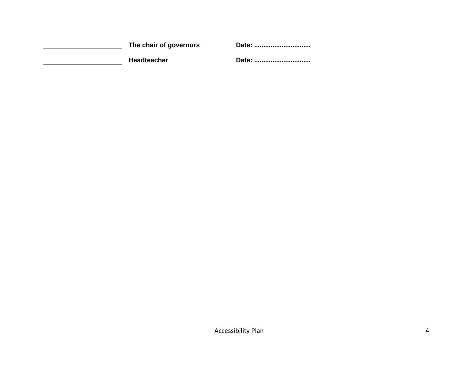| The chair of governors | Date: |
|------------------------|-------|
| <b>Headteacher</b>     | Date: |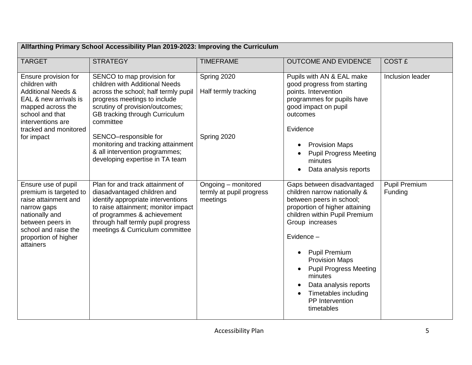| Allfarthing Primary School Accessibility Plan 2019-2023: Improving the Curriculum                                                                                                       |                                                                                                                                                                                                                                                      |                                                             |                                                                                                                                                                                                                                                                                                                                                                           |                                 |
|-----------------------------------------------------------------------------------------------------------------------------------------------------------------------------------------|------------------------------------------------------------------------------------------------------------------------------------------------------------------------------------------------------------------------------------------------------|-------------------------------------------------------------|---------------------------------------------------------------------------------------------------------------------------------------------------------------------------------------------------------------------------------------------------------------------------------------------------------------------------------------------------------------------------|---------------------------------|
| <b>TARGET</b>                                                                                                                                                                           | <b>STRATEGY</b>                                                                                                                                                                                                                                      | <b>TIMEFRAME</b>                                            | <b>OUTCOME AND EVIDENCE</b>                                                                                                                                                                                                                                                                                                                                               | <b>COST £</b>                   |
| Ensure provision for<br>children with<br><b>Additional Needs &amp;</b><br>EAL & new arrivals is<br>mapped across the<br>school and that<br>interventions are<br>tracked and monitored   | SENCO to map provision for<br>children with Additional Needs<br>across the school; half termly pupil<br>progress meetings to include<br>scrutiny of provision/outcomes;<br>GB tracking through Curriculum<br>committee                               | Spring 2020<br>Half termly tracking                         | Pupils with AN & EAL make<br>good progress from starting<br>points. Intervention<br>programmes for pupils have<br>good impact on pupil<br>outcomes<br>Evidence                                                                                                                                                                                                            | Inclusion leader                |
| for impact                                                                                                                                                                              | SENCO-responsible for<br>monitoring and tracking attainment<br>& all intervention programmes;<br>developing expertise in TA team                                                                                                                     | Spring 2020                                                 | <b>Provision Maps</b><br><b>Pupil Progress Meeting</b><br>minutes<br>Data analysis reports                                                                                                                                                                                                                                                                                |                                 |
| Ensure use of pupil<br>premium is targeted to<br>raise attainment and<br>narrow gaps<br>nationally and<br>between peers in<br>school and raise the<br>proportion of higher<br>attainers | Plan for and track attainment of<br>diasadvantaged children and<br>identify appropriate interventions<br>to raise attainment; monitor impact<br>of programmes & achievement<br>through half termly pupil progress<br>meetings & Curriculum committee | Ongoing - monitored<br>termly at pupil progress<br>meetings | Gaps between disadvantaged<br>children narrow nationally &<br>between peers in school;<br>proportion of higher attaining<br>children within Pupil Premium<br>Group increases<br>Evidence -<br><b>Pupil Premium</b><br><b>Provision Maps</b><br><b>Pupil Progress Meeting</b><br>minutes<br>Data analysis reports<br>Timetables including<br>PP Intervention<br>timetables | <b>Pupil Premium</b><br>Funding |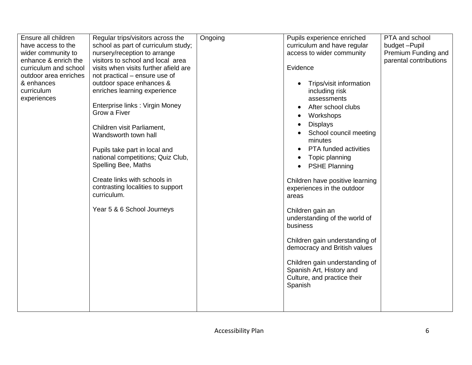| Ensure all children<br>have access to the<br>wider community to<br>enhance & enrich the<br>curriculum and school<br>outdoor area enriches<br>& enhances<br>curriculum<br>experiences | Regular trips/visitors across the<br>school as part of curriculum study;<br>nursery/reception to arrange<br>visitors to school and local area<br>visits when visits further afield are<br>not practical – ensure use of<br>outdoor space enhances &<br>enriches learning experience<br>Enterprise links: Virgin Money<br>Grow a Fiver<br>Children visit Parliament,<br>Wandsworth town hall<br>Pupils take part in local and<br>national competitions; Quiz Club,<br>Spelling Bee, Maths<br>Create links with schools in<br>contrasting localities to support<br>curriculum.<br>Year 5 & 6 School Journeys | Ongoing | Pupils experience enriched<br>curriculum and have regular<br>access to wider community<br>Evidence<br>Trips/visit information<br>including risk<br>assessments<br>After school clubs<br>Workshops<br><b>Displays</b><br>School council meeting<br>minutes<br><b>PTA</b> funded activities<br>Topic planning<br><b>PSHE Planning</b><br>Children have positive learning<br>experiences in the outdoor<br>areas<br>Children gain an<br>understanding of the world of<br>business<br>Children gain understanding of<br>democracy and British values<br>Children gain understanding of<br>Spanish Art, History and<br>Culture, and practice their<br>Spanish | PTA and school<br>budget-Pupil<br>Premium Funding and<br>parental contributions |
|--------------------------------------------------------------------------------------------------------------------------------------------------------------------------------------|------------------------------------------------------------------------------------------------------------------------------------------------------------------------------------------------------------------------------------------------------------------------------------------------------------------------------------------------------------------------------------------------------------------------------------------------------------------------------------------------------------------------------------------------------------------------------------------------------------|---------|----------------------------------------------------------------------------------------------------------------------------------------------------------------------------------------------------------------------------------------------------------------------------------------------------------------------------------------------------------------------------------------------------------------------------------------------------------------------------------------------------------------------------------------------------------------------------------------------------------------------------------------------------------|---------------------------------------------------------------------------------|
|--------------------------------------------------------------------------------------------------------------------------------------------------------------------------------------|------------------------------------------------------------------------------------------------------------------------------------------------------------------------------------------------------------------------------------------------------------------------------------------------------------------------------------------------------------------------------------------------------------------------------------------------------------------------------------------------------------------------------------------------------------------------------------------------------------|---------|----------------------------------------------------------------------------------------------------------------------------------------------------------------------------------------------------------------------------------------------------------------------------------------------------------------------------------------------------------------------------------------------------------------------------------------------------------------------------------------------------------------------------------------------------------------------------------------------------------------------------------------------------------|---------------------------------------------------------------------------------|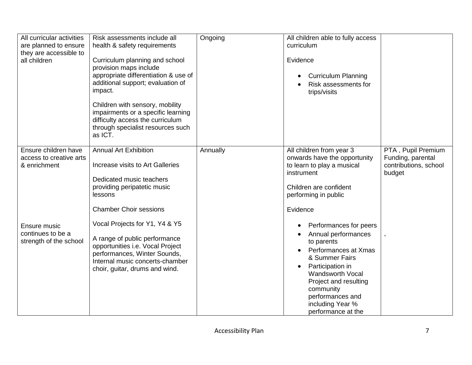| All curricular activities<br>are planned to ensure<br>they are accessible to | Risk assessments include all<br>health & safety requirements                                                                                                           | Ongoing  | All children able to fully access<br>curriculum                                                                                                                                                                                             |                                 |
|------------------------------------------------------------------------------|------------------------------------------------------------------------------------------------------------------------------------------------------------------------|----------|---------------------------------------------------------------------------------------------------------------------------------------------------------------------------------------------------------------------------------------------|---------------------------------|
| all children                                                                 | Curriculum planning and school<br>provision maps include                                                                                                               |          | Evidence                                                                                                                                                                                                                                    |                                 |
|                                                                              | appropriate differentiation & use of<br>additional support; evaluation of<br>impact.                                                                                   |          | <b>Curriculum Planning</b><br>Risk assessments for<br>trips/visits                                                                                                                                                                          |                                 |
|                                                                              | Children with sensory, mobility<br>impairments or a specific learning<br>difficulty access the curriculum<br>through specialist resources such<br>as ICT.              |          |                                                                                                                                                                                                                                             |                                 |
| Ensure children have                                                         | <b>Annual Art Exhibition</b>                                                                                                                                           | Annually | All children from year 3                                                                                                                                                                                                                    | PTA, Pupil Premium              |
| access to creative arts                                                      |                                                                                                                                                                        |          | onwards have the opportunity                                                                                                                                                                                                                | Funding, parental               |
| & enrichment                                                                 | Increase visits to Art Galleries                                                                                                                                       |          | to learn to play a musical<br>instrument                                                                                                                                                                                                    | contributions, school<br>budget |
|                                                                              | Dedicated music teachers                                                                                                                                               |          |                                                                                                                                                                                                                                             |                                 |
|                                                                              | providing peripatetic music                                                                                                                                            |          | Children are confident                                                                                                                                                                                                                      |                                 |
|                                                                              | lessons                                                                                                                                                                |          | performing in public                                                                                                                                                                                                                        |                                 |
|                                                                              | <b>Chamber Choir sessions</b>                                                                                                                                          |          | Evidence                                                                                                                                                                                                                                    |                                 |
| Ensure music                                                                 | Vocal Projects for Y1, Y4 & Y5                                                                                                                                         |          | Performances for peers<br>$\bullet$                                                                                                                                                                                                         |                                 |
| continues to be a<br>strength of the school                                  | A range of public performance<br>opportunities i.e. Vocal Project<br>performances, Winter Sounds,<br>Internal music concerts-chamber<br>choir, guitar, drums and wind. |          | Annual performances<br>$\bullet$<br>to parents<br>Performances at Xmas<br>& Summer Fairs<br>Participation in<br><b>Wandsworth Vocal</b><br>Project and resulting<br>community<br>performances and<br>including Year %<br>performance at the |                                 |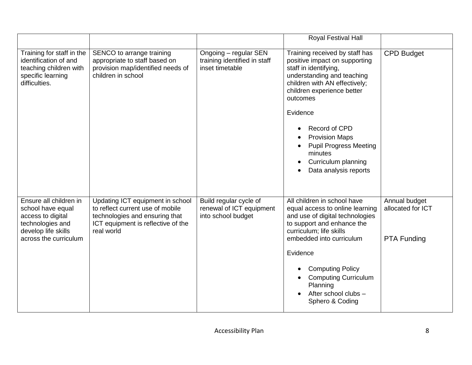|                                                                                                                                      |                                                                                                                                                            |                                                                          | Royal Festival Hall                                                                                                                                                                                                                                                                                                                                 |                                                          |
|--------------------------------------------------------------------------------------------------------------------------------------|------------------------------------------------------------------------------------------------------------------------------------------------------------|--------------------------------------------------------------------------|-----------------------------------------------------------------------------------------------------------------------------------------------------------------------------------------------------------------------------------------------------------------------------------------------------------------------------------------------------|----------------------------------------------------------|
| Training for staff in the<br>identification of and<br>teaching children with<br>specific learning<br>difficulties.                   | SENCO to arrange training<br>appropriate to staff based on<br>provision map/identified needs of<br>children in school                                      | Ongoing - regular SEN<br>training identified in staff<br>inset timetable | Training received by staff has<br>positive impact on supporting<br>staff in identifying,<br>understanding and teaching<br>children with AN effectively;<br>children experience better<br>outcomes<br>Evidence<br>Record of CPD<br><b>Provision Maps</b><br><b>Pupil Progress Meeting</b><br>minutes<br>Curriculum planning<br>Data analysis reports | <b>CPD Budget</b>                                        |
| Ensure all children in<br>school have equal<br>access to digital<br>technologies and<br>develop life skills<br>across the curriculum | Updating ICT equipment in school<br>to reflect current use of mobile<br>technologies and ensuring that<br>ICT equipment is reflective of the<br>real world | Build regular cycle of<br>renewal of ICT equipment<br>into school budget | All children in school have<br>equal access to online learning<br>and use of digital technologies<br>to support and enhance the<br>curriculum; life skills<br>embedded into curriculum<br>Evidence<br><b>Computing Policy</b><br><b>Computing Curriculum</b><br>Planning<br>After school clubs -<br>Sphero & Coding                                 | Annual budget<br>allocated for ICT<br><b>PTA Funding</b> |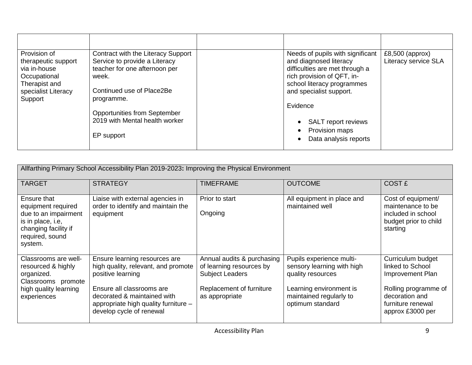| Provision of        | Contract with the Literacy Support  | Needs of pupils with significant | $£8,500$ (approx)    |
|---------------------|-------------------------------------|----------------------------------|----------------------|
| therapeutic support | Service to provide a Literacy       | and diagnosed literacy           | Literacy service SLA |
| via in-house        | teacher for one afternoon per       | difficulties are met through a   |                      |
| Occupational        | week.                               | rich provision of QFT, in-       |                      |
| Therapist and       |                                     | school literacy programmes       |                      |
| specialist Literacy | Continued use of Place2Be           | and specialist support.          |                      |
| Support             | programme.                          |                                  |                      |
|                     |                                     | Evidence                         |                      |
|                     | <b>Opportunities from September</b> |                                  |                      |
|                     | 2019 with Mental health worker      | <b>SALT</b> report reviews       |                      |
|                     |                                     | Provision maps                   |                      |
|                     | EP support                          | Data analysis reports            |                      |
|                     |                                     |                                  |                      |

| Allfarthing Primary School Accessibility Plan 2019-2023: Improving the Physical Environment                                          |                                                                                                                                                                                                                           |                                                                                                                                |                                                                                                                                                       |                                                                                                                                              |
|--------------------------------------------------------------------------------------------------------------------------------------|---------------------------------------------------------------------------------------------------------------------------------------------------------------------------------------------------------------------------|--------------------------------------------------------------------------------------------------------------------------------|-------------------------------------------------------------------------------------------------------------------------------------------------------|----------------------------------------------------------------------------------------------------------------------------------------------|
| <b>TARGET</b>                                                                                                                        | <b>STRATEGY</b>                                                                                                                                                                                                           | <b>TIMEFRAME</b>                                                                                                               | <b>OUTCOME</b>                                                                                                                                        | <b>COST £</b>                                                                                                                                |
| Ensure that<br>equipment required<br>due to an impairment<br>is in place, i.e,<br>changing facility if<br>required, sound<br>system. | Liaise with external agencies in<br>order to identify and maintain the<br>equipment                                                                                                                                       | Prior to start<br>Ongoing                                                                                                      | All equipment in place and<br>maintained well                                                                                                         | Cost of equipment/<br>maintenance to be<br>included in school<br>budget prior to child<br>starting                                           |
| Classrooms are well-<br>resourced & highly<br>organized.<br>Classrooms promote<br>high quality learning<br>experiences               | Ensure learning resources are<br>high quality, relevant, and promote<br>positive learning<br>Ensure all classrooms are<br>decorated & maintained with<br>appropriate high quality furniture -<br>develop cycle of renewal | Annual audits & purchasing<br>of learning resources by<br><b>Subject Leaders</b><br>Replacement of furniture<br>as appropriate | Pupils experience multi-<br>sensory learning with high<br>quality resources<br>Learning environment is<br>maintained regularly to<br>optimum standard | Curriculum budget<br>linked to School<br>Improvement Plan<br>Rolling programme of<br>decoration and<br>furniture renewal<br>approx £3000 per |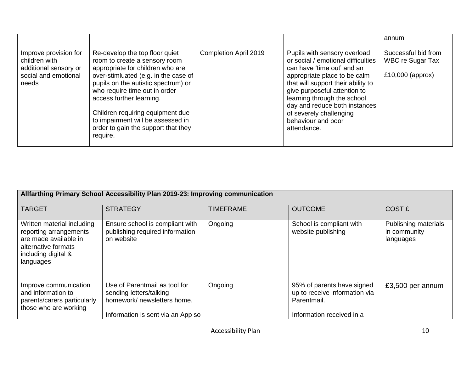|                                                                                                  |                                                                                                                                                                                                                                                                                                                                                                             |                       |                                                                                                                                                                                                                                                                                                                                        | annum                                                         |
|--------------------------------------------------------------------------------------------------|-----------------------------------------------------------------------------------------------------------------------------------------------------------------------------------------------------------------------------------------------------------------------------------------------------------------------------------------------------------------------------|-----------------------|----------------------------------------------------------------------------------------------------------------------------------------------------------------------------------------------------------------------------------------------------------------------------------------------------------------------------------------|---------------------------------------------------------------|
| Improve provision for<br>children with<br>additional sensory or<br>social and emotional<br>needs | Re-develop the top floor quiet<br>room to create a sensory room<br>appropriate for children who are<br>over-stimluated (e.g. in the case of<br>pupils on the autistic spectrum) or<br>who require time out in order<br>access further learning.<br>Children requiring equipment due<br>to impairment will be assessed in<br>order to gain the support that they<br>require. | Completion April 2019 | Pupils with sensory overload<br>or social / emotional difficulties<br>can have 'time out' and an<br>appropriate place to be calm<br>that will support their ability to<br>give purposeful attention to<br>learning through the school<br>day and reduce both instances<br>of severely challenging<br>behaviour and poor<br>attendance. | Successful bid from<br>WBC re Sugar Tax<br>$£10,000$ (approx) |

| Allfarthing Primary School Accessibility Plan 2019-23: Improving communication                                                           |                                                                                                                              |                  |                                                                                                         |                                                   |  |
|------------------------------------------------------------------------------------------------------------------------------------------|------------------------------------------------------------------------------------------------------------------------------|------------------|---------------------------------------------------------------------------------------------------------|---------------------------------------------------|--|
| <b>TARGET</b>                                                                                                                            | <b>STRATEGY</b>                                                                                                              | <b>TIMEFRAME</b> | <b>OUTCOME</b>                                                                                          | COST £                                            |  |
| Written material including<br>reporting arrangements<br>are made available in<br>alternative formats<br>including digital &<br>languages | Ensure school is compliant with<br>publishing required information<br>on website                                             | Ongoing          | School is compliant with<br>website publishing                                                          | Publishing materials<br>in community<br>languages |  |
| Improve communication<br>and information to<br>parents/carers particularly<br>those who are working                                      | Use of Parentmail as tool for<br>sending letters/talking<br>homework/ newsletters home.<br>Information is sent via an App so | Ongoing          | 95% of parents have signed<br>up to receive information via<br>Parentmail.<br>Information received in a | £3,500 per annum                                  |  |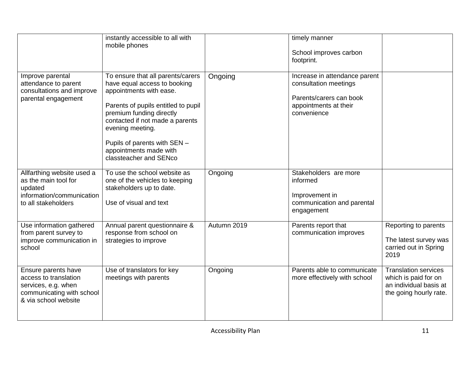|                                                                                                                          | instantly accessible to all with<br>mobile phones                                                                                                                                                                                                                                                          |             | timely manner<br>School improves carbon<br>footprint.                                                                     |                                                                                                         |
|--------------------------------------------------------------------------------------------------------------------------|------------------------------------------------------------------------------------------------------------------------------------------------------------------------------------------------------------------------------------------------------------------------------------------------------------|-------------|---------------------------------------------------------------------------------------------------------------------------|---------------------------------------------------------------------------------------------------------|
| Improve parental<br>attendance to parent<br>consultations and improve<br>parental engagement                             | To ensure that all parents/carers<br>have equal access to booking<br>appointments with ease.<br>Parents of pupils entitled to pupil<br>premium funding directly<br>contacted if not made a parents<br>evening meeting.<br>Pupils of parents with SEN -<br>appointments made with<br>classteacher and SENco | Ongoing     | Increase in attendance parent<br>consultation meetings<br>Parents/carers can book<br>appointments at their<br>convenience |                                                                                                         |
| Allfarthing website used a<br>as the main tool for<br>updated<br>information/communication<br>to all stakeholders        | To use the school website as<br>one of the vehicles to keeping<br>stakeholders up to date.<br>Use of visual and text                                                                                                                                                                                       | Ongoing     | Stakeholders are more<br>informed<br>Improvement in<br>communication and parental<br>engagement                           |                                                                                                         |
| Use information gathered<br>from parent survey to<br>improve communication in<br>school                                  | Annual parent questionnaire &<br>response from school on<br>strategies to improve                                                                                                                                                                                                                          | Autumn 2019 | Parents report that<br>communication improves                                                                             | Reporting to parents<br>The latest survey was<br>carried out in Spring<br>2019                          |
| Ensure parents have<br>access to translation<br>services, e.g. when<br>communicating with school<br>& via school website | Use of translators for key<br>meetings with parents                                                                                                                                                                                                                                                        | Ongoing     | Parents able to communicate<br>more effectively with school                                                               | <b>Translation services</b><br>which is paid for on<br>an individual basis at<br>the going hourly rate. |